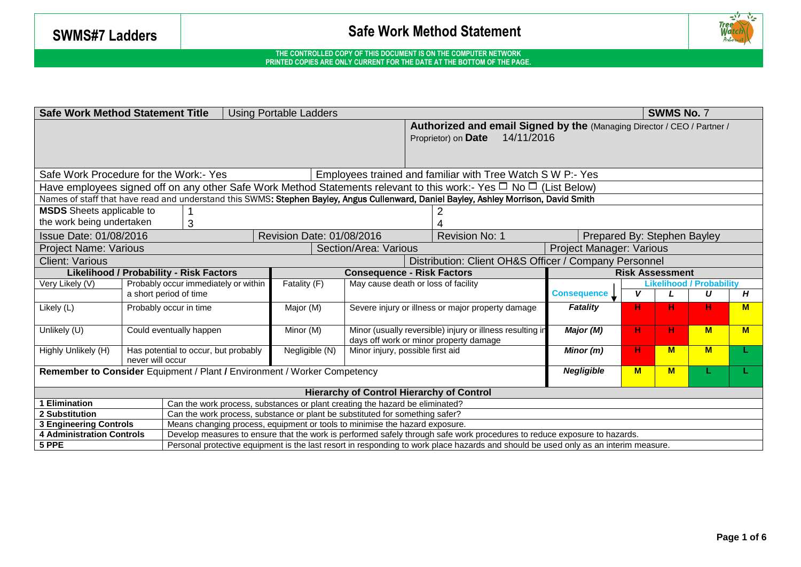

| <b>SWMS No. 7</b><br><b>Safe Work Method Statement Title</b><br><b>Using Portable Ladders</b>           |                                                                                                                                                                                                                                                                 |                                                                                                                                      |                                                                                             |                                                   |                                                                         |                                   |                                                                                                                                       |                             |                                 |   |          |   |
|---------------------------------------------------------------------------------------------------------|-----------------------------------------------------------------------------------------------------------------------------------------------------------------------------------------------------------------------------------------------------------------|--------------------------------------------------------------------------------------------------------------------------------------|---------------------------------------------------------------------------------------------|---------------------------------------------------|-------------------------------------------------------------------------|-----------------------------------|---------------------------------------------------------------------------------------------------------------------------------------|-----------------------------|---------------------------------|---|----------|---|
|                                                                                                         |                                                                                                                                                                                                                                                                 |                                                                                                                                      |                                                                                             |                                                   | Authorized and email Signed by the (Managing Director / CEO / Partner / |                                   |                                                                                                                                       |                             |                                 |   |          |   |
|                                                                                                         |                                                                                                                                                                                                                                                                 |                                                                                                                                      |                                                                                             |                                                   |                                                                         | 14/11/2016<br>Proprietor) on Date |                                                                                                                                       |                             |                                 |   |          |   |
|                                                                                                         |                                                                                                                                                                                                                                                                 |                                                                                                                                      |                                                                                             |                                                   |                                                                         |                                   |                                                                                                                                       |                             |                                 |   |          |   |
|                                                                                                         |                                                                                                                                                                                                                                                                 |                                                                                                                                      |                                                                                             |                                                   |                                                                         |                                   |                                                                                                                                       |                             |                                 |   |          |   |
| Safe Work Procedure for the Work:- Yes<br>Employees trained and familiar with Tree Watch S W P:- Yes    |                                                                                                                                                                                                                                                                 |                                                                                                                                      |                                                                                             |                                                   |                                                                         |                                   |                                                                                                                                       |                             |                                 |   |          |   |
|                                                                                                         |                                                                                                                                                                                                                                                                 |                                                                                                                                      |                                                                                             |                                                   |                                                                         |                                   | Have employees signed off on any other Safe Work Method Statements relevant to this work:- Yes $\Box$ No $\Box$ (List Below)          |                             |                                 |   |          |   |
|                                                                                                         |                                                                                                                                                                                                                                                                 |                                                                                                                                      |                                                                                             |                                                   |                                                                         |                                   | Names of staff that have read and understand this SWMS: Stephen Bayley, Angus Cullenward, Daniel Bayley, Ashley Morrison, David Smith |                             |                                 |   |          |   |
| <b>MSDS</b> Sheets applicable to                                                                        |                                                                                                                                                                                                                                                                 |                                                                                                                                      |                                                                                             |                                                   |                                                                         |                                   |                                                                                                                                       |                             |                                 |   |          |   |
| the work being undertaken                                                                               |                                                                                                                                                                                                                                                                 | 3                                                                                                                                    |                                                                                             |                                                   |                                                                         |                                   |                                                                                                                                       |                             |                                 |   |          |   |
| Issue Date: 01/08/2016                                                                                  |                                                                                                                                                                                                                                                                 |                                                                                                                                      |                                                                                             | Revision Date: 01/08/2016                         |                                                                         |                                   | Revision No: 1                                                                                                                        | Prepared By: Stephen Bayley |                                 |   |          |   |
| <b>Project Name: Various</b>                                                                            |                                                                                                                                                                                                                                                                 |                                                                                                                                      |                                                                                             |                                                   | Section/Area: Various                                                   |                                   |                                                                                                                                       | Project Manager: Various    |                                 |   |          |   |
| Distribution: Client OH&S Officer / Company Personnel<br><b>Client: Various</b>                         |                                                                                                                                                                                                                                                                 |                                                                                                                                      |                                                                                             |                                                   |                                                                         |                                   |                                                                                                                                       |                             |                                 |   |          |   |
| <b>Likelihood / Probability - Risk Factors</b>                                                          |                                                                                                                                                                                                                                                                 |                                                                                                                                      |                                                                                             |                                                   | <b>Consequence - Risk Factors</b>                                       |                                   |                                                                                                                                       |                             | <b>Risk Assessment</b>          |   |          |   |
| Very Likely (V)                                                                                         |                                                                                                                                                                                                                                                                 |                                                                                                                                      | Probably occur immediately or within<br>Fatality (F)<br>May cause death or loss of facility |                                                   |                                                                         |                                   |                                                                                                                                       |                             | <b>Likelihood / Probability</b> |   |          |   |
|                                                                                                         |                                                                                                                                                                                                                                                                 | a short period of time                                                                                                               |                                                                                             |                                                   |                                                                         |                                   |                                                                                                                                       | <b>Consequence</b> L        | v                               |   | U        | H |
| Likely (L)<br>Probably occur in time                                                                    |                                                                                                                                                                                                                                                                 |                                                                                                                                      | Major (M)                                                                                   | Severe injury or illness or major property damage |                                                                         |                                   | <b>Fatality</b>                                                                                                                       | н                           | н                               | н | M        |   |
|                                                                                                         |                                                                                                                                                                                                                                                                 |                                                                                                                                      |                                                                                             |                                                   |                                                                         |                                   |                                                                                                                                       |                             |                                 |   |          |   |
| Unlikely (U)                                                                                            |                                                                                                                                                                                                                                                                 | Minor (usually reversible) injury or illness resulting in<br>Could eventually happen<br>Minor (M)                                    |                                                                                             |                                                   |                                                                         |                                   | Major (M)                                                                                                                             | н.                          | н.                              | M | <b>M</b> |   |
| Highly Unlikely (H)                                                                                     |                                                                                                                                                                                                                                                                 | days off work or minor property damage<br>Negligible (N)<br>Has potential to occur, but probably<br>Minor injury, possible first aid |                                                                                             |                                                   |                                                                         |                                   |                                                                                                                                       | Minor $(m)$                 | н.                              | M | $M$      |   |
| never will occur                                                                                        |                                                                                                                                                                                                                                                                 |                                                                                                                                      |                                                                                             |                                                   |                                                                         |                                   |                                                                                                                                       |                             |                                 |   |          |   |
| <b>Negligible</b><br>Remember to Consider Equipment / Plant / Environment / Worker Competency<br>M<br>M |                                                                                                                                                                                                                                                                 |                                                                                                                                      |                                                                                             |                                                   |                                                                         |                                   |                                                                                                                                       |                             |                                 |   |          |   |
|                                                                                                         |                                                                                                                                                                                                                                                                 |                                                                                                                                      |                                                                                             |                                                   |                                                                         |                                   |                                                                                                                                       |                             |                                 |   |          |   |
| <b>Hierarchy of Control Hierarchy of Control</b>                                                        |                                                                                                                                                                                                                                                                 |                                                                                                                                      |                                                                                             |                                                   |                                                                         |                                   |                                                                                                                                       |                             |                                 |   |          |   |
| <b>1 Elimination</b>                                                                                    |                                                                                                                                                                                                                                                                 | Can the work process, substances or plant creating the hazard be eliminated?                                                         |                                                                                             |                                                   |                                                                         |                                   |                                                                                                                                       |                             |                                 |   |          |   |
| 2 Substitution                                                                                          |                                                                                                                                                                                                                                                                 |                                                                                                                                      | Can the work process, substance or plant be substituted for something safer?                |                                                   |                                                                         |                                   |                                                                                                                                       |                             |                                 |   |          |   |
| <b>3 Engineering Controls</b>                                                                           |                                                                                                                                                                                                                                                                 | Means changing process, equipment or tools to minimise the hazard exposure.                                                          |                                                                                             |                                                   |                                                                         |                                   |                                                                                                                                       |                             |                                 |   |          |   |
| <b>4 Administration Controls</b>                                                                        | Develop measures to ensure that the work is performed safely through safe work procedures to reduce exposure to hazards.<br>Personal protective equipment is the last resort in responding to work place hazards and should be used only as an interim measure. |                                                                                                                                      |                                                                                             |                                                   |                                                                         |                                   |                                                                                                                                       |                             |                                 |   |          |   |
| 5 PPE                                                                                                   |                                                                                                                                                                                                                                                                 |                                                                                                                                      |                                                                                             |                                                   |                                                                         |                                   |                                                                                                                                       |                             |                                 |   |          |   |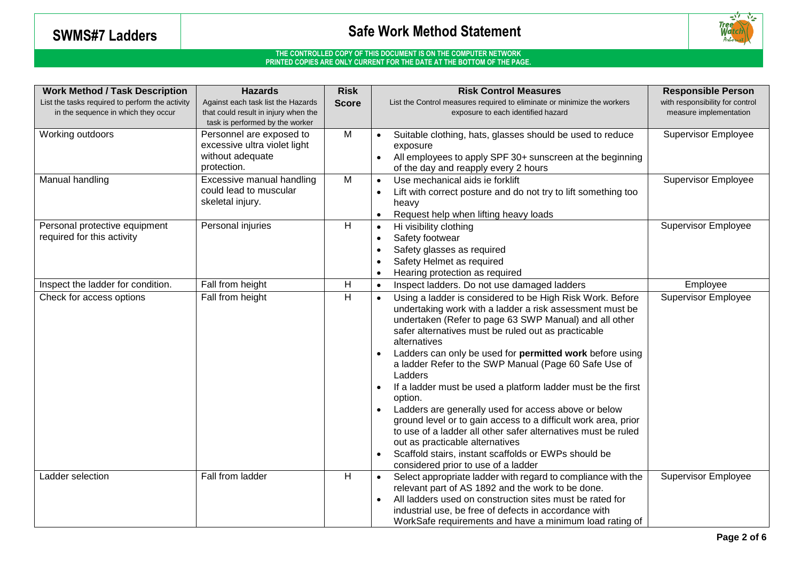

| <b>Work Method / Task Description</b>                                                                                        | <b>Hazards</b>                                                          | <b>Risk</b>  | <b>Risk Control Measures</b>                                                                                                                                                                                                                                                                                                                                                                                                                                                                                                                                                                                                                                                                                                                                                      | <b>Responsible Person</b>       |
|------------------------------------------------------------------------------------------------------------------------------|-------------------------------------------------------------------------|--------------|-----------------------------------------------------------------------------------------------------------------------------------------------------------------------------------------------------------------------------------------------------------------------------------------------------------------------------------------------------------------------------------------------------------------------------------------------------------------------------------------------------------------------------------------------------------------------------------------------------------------------------------------------------------------------------------------------------------------------------------------------------------------------------------|---------------------------------|
| List the tasks required to perform the activity<br>Against each task list the Hazards<br>in the sequence in which they occur |                                                                         | <b>Score</b> | List the Control measures required to eliminate or minimize the workers                                                                                                                                                                                                                                                                                                                                                                                                                                                                                                                                                                                                                                                                                                           | with responsibility for control |
|                                                                                                                              | that could result in injury when the<br>task is performed by the worker |              | exposure to each identified hazard                                                                                                                                                                                                                                                                                                                                                                                                                                                                                                                                                                                                                                                                                                                                                | measure implementation          |
| Working outdoors                                                                                                             | Personnel are exposed to                                                | M            | Suitable clothing, hats, glasses should be used to reduce                                                                                                                                                                                                                                                                                                                                                                                                                                                                                                                                                                                                                                                                                                                         | <b>Supervisor Employee</b>      |
|                                                                                                                              | excessive ultra violet light                                            |              | exposure                                                                                                                                                                                                                                                                                                                                                                                                                                                                                                                                                                                                                                                                                                                                                                          |                                 |
|                                                                                                                              | without adequate                                                        |              | All employees to apply SPF 30+ sunscreen at the beginning                                                                                                                                                                                                                                                                                                                                                                                                                                                                                                                                                                                                                                                                                                                         |                                 |
|                                                                                                                              | protection.                                                             |              | of the day and reapply every 2 hours                                                                                                                                                                                                                                                                                                                                                                                                                                                                                                                                                                                                                                                                                                                                              |                                 |
| Manual handling                                                                                                              | Excessive manual handling                                               | M            | Use mechanical aids ie forklift<br>$\bullet$                                                                                                                                                                                                                                                                                                                                                                                                                                                                                                                                                                                                                                                                                                                                      | <b>Supervisor Employee</b>      |
|                                                                                                                              | could lead to muscular                                                  |              | Lift with correct posture and do not try to lift something too                                                                                                                                                                                                                                                                                                                                                                                                                                                                                                                                                                                                                                                                                                                    |                                 |
|                                                                                                                              | skeletal injury.                                                        |              | heavy                                                                                                                                                                                                                                                                                                                                                                                                                                                                                                                                                                                                                                                                                                                                                                             |                                 |
|                                                                                                                              |                                                                         |              | Request help when lifting heavy loads<br>$\bullet$                                                                                                                                                                                                                                                                                                                                                                                                                                                                                                                                                                                                                                                                                                                                |                                 |
| Personal protective equipment                                                                                                | Personal injuries                                                       | H            | Hi visibility clothing<br>$\bullet$                                                                                                                                                                                                                                                                                                                                                                                                                                                                                                                                                                                                                                                                                                                                               | <b>Supervisor Employee</b>      |
| required for this activity                                                                                                   |                                                                         |              | Safety footwear                                                                                                                                                                                                                                                                                                                                                                                                                                                                                                                                                                                                                                                                                                                                                                   |                                 |
|                                                                                                                              |                                                                         |              | Safety glasses as required                                                                                                                                                                                                                                                                                                                                                                                                                                                                                                                                                                                                                                                                                                                                                        |                                 |
|                                                                                                                              |                                                                         |              | Safety Helmet as required                                                                                                                                                                                                                                                                                                                                                                                                                                                                                                                                                                                                                                                                                                                                                         |                                 |
|                                                                                                                              |                                                                         |              | Hearing protection as required                                                                                                                                                                                                                                                                                                                                                                                                                                                                                                                                                                                                                                                                                                                                                    |                                 |
| Inspect the ladder for condition.                                                                                            | Fall from height                                                        | H            | Inspect ladders. Do not use damaged ladders<br>$\bullet$                                                                                                                                                                                                                                                                                                                                                                                                                                                                                                                                                                                                                                                                                                                          | Employee                        |
| Check for access options                                                                                                     | Fall from height                                                        | н            | Using a ladder is considered to be High Risk Work. Before<br>$\bullet$<br>undertaking work with a ladder a risk assessment must be<br>undertaken (Refer to page 63 SWP Manual) and all other<br>safer alternatives must be ruled out as practicable<br>alternatives<br>Ladders can only be used for permitted work before using<br>a ladder Refer to the SWP Manual (Page 60 Safe Use of<br>Ladders<br>If a ladder must be used a platform ladder must be the first<br>$\bullet$<br>option.<br>Ladders are generally used for access above or below<br>ground level or to gain access to a difficult work area, prior<br>to use of a ladder all other safer alternatives must be ruled<br>out as practicable alternatives<br>Scaffold stairs, instant scaffolds or EWPs should be | <b>Supervisor Employee</b>      |
|                                                                                                                              |                                                                         |              | considered prior to use of a ladder                                                                                                                                                                                                                                                                                                                                                                                                                                                                                                                                                                                                                                                                                                                                               |                                 |
| Ladder selection                                                                                                             | Fall from ladder                                                        | н            | Select appropriate ladder with regard to compliance with the<br>$\bullet$<br>relevant part of AS 1892 and the work to be done.                                                                                                                                                                                                                                                                                                                                                                                                                                                                                                                                                                                                                                                    | <b>Supervisor Employee</b>      |
|                                                                                                                              |                                                                         |              | All ladders used on construction sites must be rated for                                                                                                                                                                                                                                                                                                                                                                                                                                                                                                                                                                                                                                                                                                                          |                                 |
|                                                                                                                              |                                                                         |              | industrial use, be free of defects in accordance with                                                                                                                                                                                                                                                                                                                                                                                                                                                                                                                                                                                                                                                                                                                             |                                 |
|                                                                                                                              |                                                                         |              | WorkSafe requirements and have a minimum load rating of                                                                                                                                                                                                                                                                                                                                                                                                                                                                                                                                                                                                                                                                                                                           |                                 |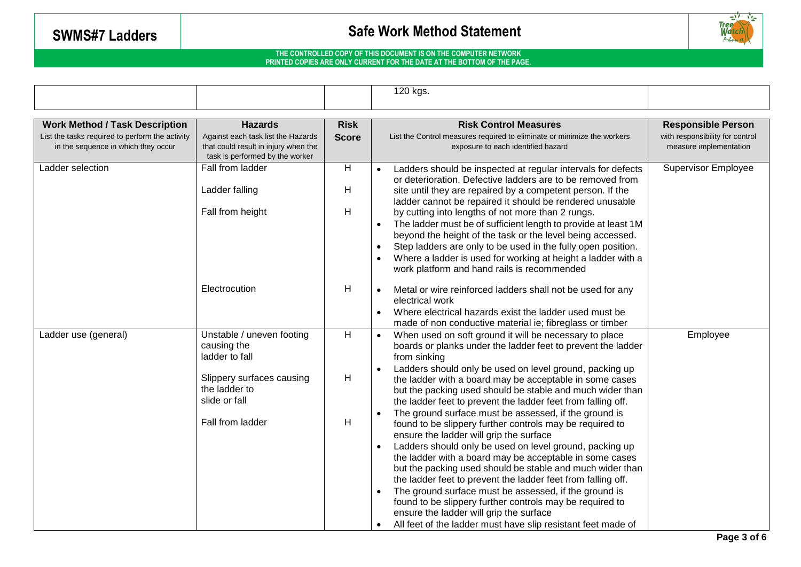

|                                                 |                                                                         |              | 120 kgs.                                                                                                                     |                                 |
|-------------------------------------------------|-------------------------------------------------------------------------|--------------|------------------------------------------------------------------------------------------------------------------------------|---------------------------------|
|                                                 |                                                                         |              |                                                                                                                              |                                 |
| <b>Work Method / Task Description</b>           | <b>Hazards</b>                                                          | <b>Risk</b>  | <b>Risk Control Measures</b>                                                                                                 | <b>Responsible Person</b>       |
| List the tasks required to perform the activity | Against each task list the Hazards                                      | <b>Score</b> | List the Control measures required to eliminate or minimize the workers                                                      | with responsibility for control |
| in the sequence in which they occur             | that could result in injury when the<br>task is performed by the worker |              | exposure to each identified hazard                                                                                           | measure implementation          |
| Ladder selection                                | Fall from ladder                                                        | H            | Ladders should be inspected at regular intervals for defects<br>or deterioration. Defective ladders are to be removed from   | <b>Supervisor Employee</b>      |
|                                                 | Ladder falling                                                          | H            | site until they are repaired by a competent person. If the                                                                   |                                 |
|                                                 | Fall from height                                                        | H            | ladder cannot be repaired it should be rendered unusable                                                                     |                                 |
|                                                 |                                                                         |              | by cutting into lengths of not more than 2 rungs.                                                                            |                                 |
|                                                 |                                                                         |              | The ladder must be of sufficient length to provide at least 1M<br>beyond the height of the task or the level being accessed. |                                 |
|                                                 |                                                                         |              | Step ladders are only to be used in the fully open position.                                                                 |                                 |
|                                                 |                                                                         |              | Where a ladder is used for working at height a ladder with a                                                                 |                                 |
|                                                 |                                                                         |              | work platform and hand rails is recommended                                                                                  |                                 |
|                                                 | Electrocution                                                           | H            | Metal or wire reinforced ladders shall not be used for any                                                                   |                                 |
|                                                 |                                                                         |              | electrical work                                                                                                              |                                 |
|                                                 |                                                                         |              | Where electrical hazards exist the ladder used must be<br>made of non conductive material ie; fibreglass or timber           |                                 |
| Ladder use (general)                            | Unstable / uneven footing                                               | H            | When used on soft ground it will be necessary to place                                                                       | Employee                        |
|                                                 | causing the<br>ladder to fall                                           |              | boards or planks under the ladder feet to prevent the ladder<br>from sinking                                                 |                                 |
|                                                 |                                                                         |              | Ladders should only be used on level ground, packing up                                                                      |                                 |
|                                                 | Slippery surfaces causing                                               | H            | the ladder with a board may be acceptable in some cases                                                                      |                                 |
|                                                 | the ladder to                                                           |              | but the packing used should be stable and much wider than                                                                    |                                 |
|                                                 | slide or fall                                                           |              | the ladder feet to prevent the ladder feet from falling off.                                                                 |                                 |
|                                                 | Fall from ladder                                                        | H            | The ground surface must be assessed, if the ground is                                                                        |                                 |
|                                                 |                                                                         |              | found to be slippery further controls may be required to                                                                     |                                 |
|                                                 |                                                                         |              | ensure the ladder will grip the surface<br>Ladders should only be used on level ground, packing up                           |                                 |
|                                                 |                                                                         |              | the ladder with a board may be acceptable in some cases                                                                      |                                 |
|                                                 |                                                                         |              | but the packing used should be stable and much wider than                                                                    |                                 |
|                                                 |                                                                         |              | the ladder feet to prevent the ladder feet from falling off.                                                                 |                                 |
|                                                 |                                                                         |              | The ground surface must be assessed, if the ground is                                                                        |                                 |
|                                                 |                                                                         |              | found to be slippery further controls may be required to                                                                     |                                 |
|                                                 |                                                                         |              | ensure the ladder will grip the surface                                                                                      |                                 |
|                                                 |                                                                         |              | All feet of the ladder must have slip resistant feet made of                                                                 |                                 |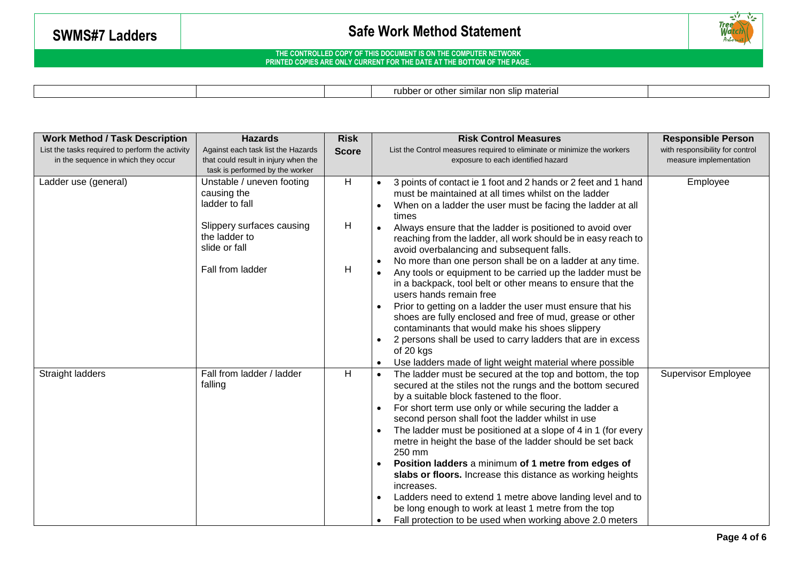

|  |  |  |  | rubber or other similar non slip material |  |
|--|--|--|--|-------------------------------------------|--|
|--|--|--|--|-------------------------------------------|--|

| <b>Work Method / Task Description</b>                                                  | <b>Hazards</b>                                                                                                | <b>Risk</b>  | <b>Risk Control Measures</b>                                                                                                                                                                                                                                                                                                                                                                                                                                                                                                                                                                                                                                                                                                                                               | <b>Responsible Person</b>                                 |
|----------------------------------------------------------------------------------------|---------------------------------------------------------------------------------------------------------------|--------------|----------------------------------------------------------------------------------------------------------------------------------------------------------------------------------------------------------------------------------------------------------------------------------------------------------------------------------------------------------------------------------------------------------------------------------------------------------------------------------------------------------------------------------------------------------------------------------------------------------------------------------------------------------------------------------------------------------------------------------------------------------------------------|-----------------------------------------------------------|
| List the tasks required to perform the activity<br>in the sequence in which they occur | Against each task list the Hazards<br>that could result in injury when the<br>task is performed by the worker | <b>Score</b> | List the Control measures required to eliminate or minimize the workers<br>exposure to each identified hazard                                                                                                                                                                                                                                                                                                                                                                                                                                                                                                                                                                                                                                                              | with responsibility for control<br>measure implementation |
| Ladder use (general)                                                                   | Unstable / uneven footing<br>causing the<br>ladder to fall                                                    | H            | 3 points of contact ie 1 foot and 2 hands or 2 feet and 1 hand<br>must be maintained at all times whilst on the ladder<br>When on a ladder the user must be facing the ladder at all<br>times                                                                                                                                                                                                                                                                                                                                                                                                                                                                                                                                                                              | Employee                                                  |
|                                                                                        | Slippery surfaces causing<br>the ladder to<br>slide or fall                                                   | H            | Always ensure that the ladder is positioned to avoid over<br>reaching from the ladder, all work should be in easy reach to<br>avoid overbalancing and subsequent falls.                                                                                                                                                                                                                                                                                                                                                                                                                                                                                                                                                                                                    |                                                           |
|                                                                                        | Fall from ladder                                                                                              | H            | No more than one person shall be on a ladder at any time.<br>Any tools or equipment to be carried up the ladder must be<br>in a backpack, tool belt or other means to ensure that the<br>users hands remain free<br>Prior to getting on a ladder the user must ensure that his<br>shoes are fully enclosed and free of mud, grease or other<br>contaminants that would make his shoes slippery<br>2 persons shall be used to carry ladders that are in excess<br>$\bullet$<br>of 20 kgs<br>Use ladders made of light weight material where possible                                                                                                                                                                                                                        |                                                           |
| Straight ladders                                                                       | Fall from ladder / ladder<br>falling                                                                          | H            | The ladder must be secured at the top and bottom, the top<br>$\bullet$<br>secured at the stiles not the rungs and the bottom secured<br>by a suitable block fastened to the floor.<br>For short term use only or while securing the ladder a<br>$\bullet$<br>second person shall foot the ladder whilst in use<br>The ladder must be positioned at a slope of 4 in 1 (for every<br>metre in height the base of the ladder should be set back<br>250 mm<br>Position ladders a minimum of 1 metre from edges of<br>slabs or floors. Increase this distance as working heights<br>increases.<br>Ladders need to extend 1 metre above landing level and to<br>be long enough to work at least 1 metre from the top<br>Fall protection to be used when working above 2.0 meters | <b>Supervisor Employee</b>                                |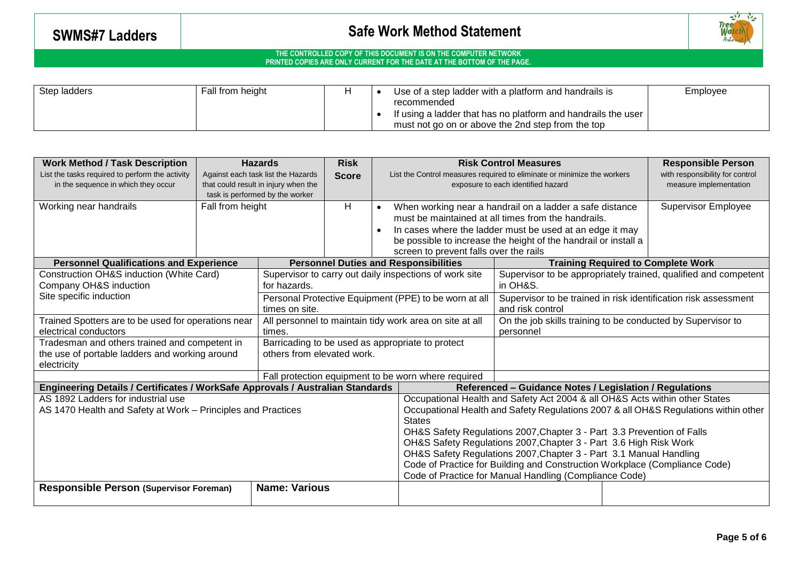

| Step ladders | Fall from height |  | Use of a step ladder with a platform and handrails is<br>Employee                                                                 |  |  |  |
|--------------|------------------|--|-----------------------------------------------------------------------------------------------------------------------------------|--|--|--|
|              |                  |  | recommended<br>If using a ladder that has no platform and handrails the user<br>must not go on or above the 2nd step from the top |  |  |  |
|              |                  |  |                                                                                                                                   |  |  |  |

| <b>Work Method / Task Description</b>                                          | <b>Hazards</b>                                          | <b>Risk</b>                                                             |              |                                                             | <b>Risk Control Measures</b>                                                              |                                                                   | <b>Responsible Person</b> |                                                                 |
|--------------------------------------------------------------------------------|---------------------------------------------------------|-------------------------------------------------------------------------|--------------|-------------------------------------------------------------|-------------------------------------------------------------------------------------------|-------------------------------------------------------------------|---------------------------|-----------------------------------------------------------------|
| List the tasks required to perform the activity                                |                                                         | Against each task list the Hazards                                      | <b>Score</b> |                                                             | List the Control measures required to eliminate or minimize the workers                   |                                                                   |                           | with responsibility for control                                 |
| in the sequence in which they occur                                            |                                                         | that could result in injury when the                                    |              |                                                             | exposure to each identified hazard                                                        |                                                                   |                           | measure implementation                                          |
|                                                                                |                                                         | task is performed by the worker                                         |              |                                                             |                                                                                           |                                                                   |                           |                                                                 |
| Working near handrails                                                         | Fall from height                                        |                                                                         | H            |                                                             |                                                                                           | When working near a handrail on a ladder a safe distance          |                           | <b>Supervisor Employee</b>                                      |
|                                                                                |                                                         |                                                                         |              |                                                             |                                                                                           | must be maintained at all times from the handrails.               |                           |                                                                 |
|                                                                                |                                                         |                                                                         |              |                                                             |                                                                                           | In cases where the ladder must be used at an edge it may          |                           |                                                                 |
|                                                                                |                                                         |                                                                         |              |                                                             |                                                                                           | be possible to increase the height of the handrail or install a   |                           |                                                                 |
|                                                                                |                                                         |                                                                         |              |                                                             | screen to prevent falls over the rails                                                    |                                                                   |                           |                                                                 |
| <b>Personnel Qualifications and Experience</b>                                 |                                                         |                                                                         |              |                                                             | <b>Personnel Duties and Responsibilities</b><br><b>Training Required to Complete Work</b> |                                                                   |                           |                                                                 |
| Construction OH&S induction (White Card)<br>Company OH&S induction             |                                                         | for hazards.                                                            |              |                                                             | Supervisor to carry out daily inspections of work site                                    | in OH&S.                                                          |                           | Supervisor to be appropriately trained, qualified and competent |
| Site specific induction                                                        |                                                         |                                                                         |              |                                                             |                                                                                           |                                                                   |                           |                                                                 |
|                                                                                |                                                         | Personal Protective Equipment (PPE) to be worn at all<br>times on site. |              |                                                             | Supervisor to be trained in risk identification risk assessment<br>and risk control       |                                                                   |                           |                                                                 |
| Trained Spotters are to be used for operations near                            | All personnel to maintain tidy work area on site at all |                                                                         |              | On the job skills training to be conducted by Supervisor to |                                                                                           |                                                                   |                           |                                                                 |
| electrical conductors                                                          | times.                                                  |                                                                         |              |                                                             | personnel                                                                                 |                                                                   |                           |                                                                 |
| Tradesman and others trained and competent in                                  | Barricading to be used as appropriate to protect        |                                                                         |              |                                                             |                                                                                           |                                                                   |                           |                                                                 |
| the use of portable ladders and working around                                 | others from elevated work.                              |                                                                         |              |                                                             |                                                                                           |                                                                   |                           |                                                                 |
| electricity                                                                    |                                                         |                                                                         |              |                                                             |                                                                                           |                                                                   |                           |                                                                 |
|                                                                                |                                                         |                                                                         |              |                                                             | Fall protection equipment to be worn where required                                       |                                                                   |                           |                                                                 |
| Engineering Details / Certificates / WorkSafe Approvals / Australian Standards |                                                         |                                                                         |              |                                                             |                                                                                           | Referenced - Guidance Notes / Legislation / Regulations           |                           |                                                                 |
| AS 1892 Ladders for industrial use                                             |                                                         |                                                                         |              |                                                             | Occupational Health and Safety Act 2004 & all OH&S Acts within other States               |                                                                   |                           |                                                                 |
| AS 1470 Health and Safety at Work – Principles and Practices                   |                                                         |                                                                         |              |                                                             | Occupational Health and Safety Regulations 2007 & all OH&S Regulations within other       |                                                                   |                           |                                                                 |
|                                                                                |                                                         |                                                                         |              |                                                             | <b>States</b>                                                                             |                                                                   |                           |                                                                 |
|                                                                                |                                                         |                                                                         |              |                                                             | OH&S Safety Regulations 2007, Chapter 3 - Part 3.3 Prevention of Falls                    |                                                                   |                           |                                                                 |
|                                                                                |                                                         |                                                                         |              |                                                             |                                                                                           | OH&S Safety Regulations 2007, Chapter 3 - Part 3.6 High Risk Work |                           |                                                                 |
|                                                                                |                                                         |                                                                         |              |                                                             | OH&S Safety Regulations 2007, Chapter 3 - Part 3.1 Manual Handling                        |                                                                   |                           |                                                                 |
|                                                                                |                                                         |                                                                         |              |                                                             | Code of Practice for Building and Construction Workplace (Compliance Code)                |                                                                   |                           |                                                                 |
|                                                                                |                                                         |                                                                         |              |                                                             |                                                                                           | Code of Practice for Manual Handling (Compliance Code)            |                           |                                                                 |
| <b>Responsible Person (Supervisor Foreman)</b>                                 |                                                         | <b>Name: Various</b>                                                    |              |                                                             |                                                                                           |                                                                   |                           |                                                                 |
|                                                                                |                                                         |                                                                         |              |                                                             |                                                                                           |                                                                   |                           |                                                                 |